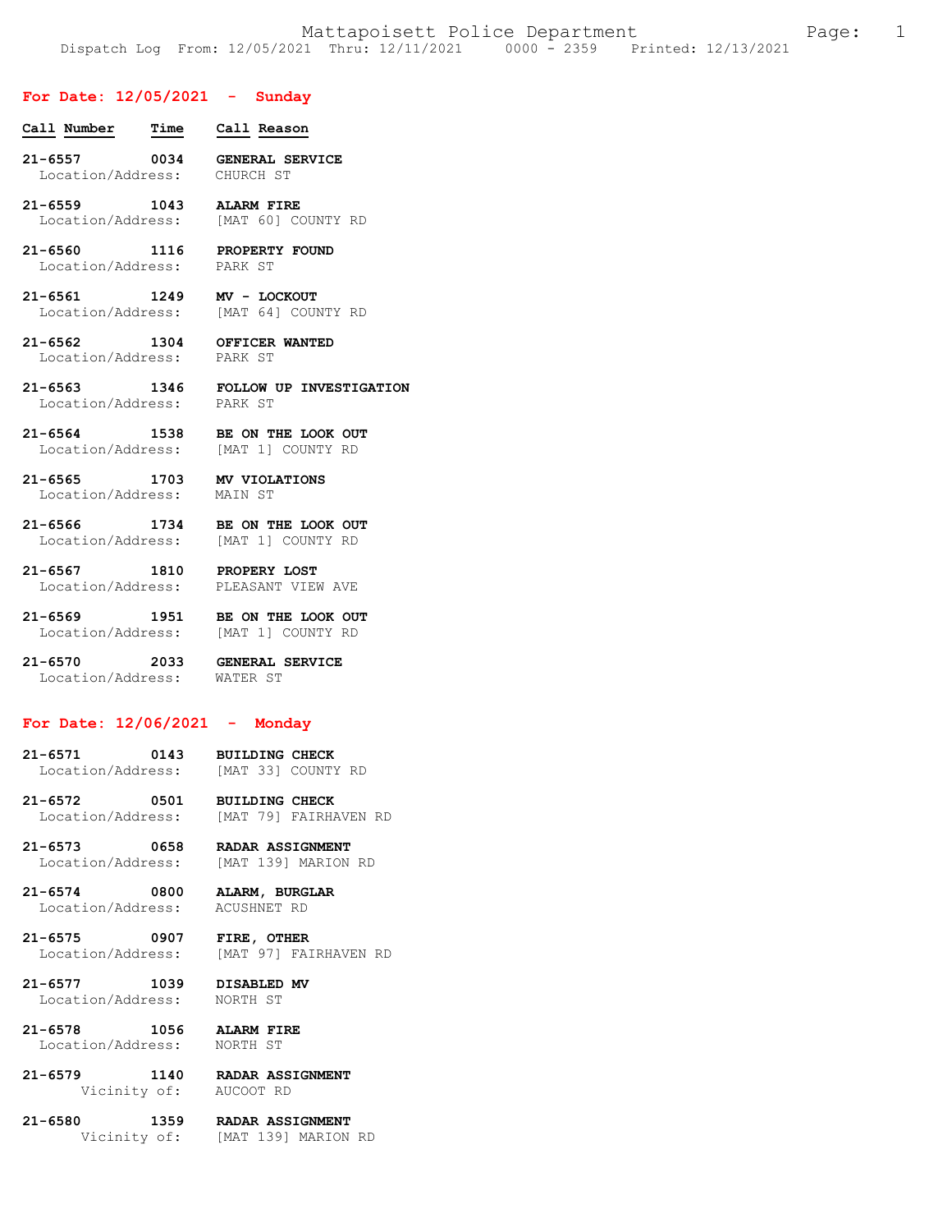# **For Date: 12/05/2021 - Sunday**

| Call Number | Time | Call Reason |
|-------------|------|-------------|
|             |      |             |

- **21-6557 0034 GENERAL SERVICE**  Location/Address: CHURCH ST
- **21-6559 1043 ALARM FIRE**  Location/Address: [MAT 60] COUNTY RD
- **21-6560 1116 PROPERTY FOUND**  Location/Address: PARK ST
- **21-6561 1249 MV LOCKOUT**  Location/Address:
- **21-6562 1304 OFFICER WANTED**  Location/Address:
- **21-6563 1346 FOLLOW UP INVESTIGATION**  Location/Address:
- **21-6564 1538 BE ON THE LOOK OUT**  Location/Address: [MAT 1] COUNTY RD
- **21-6565 1703 MV VIOLATIONS**  Location/Address: MAIN ST
- **21-6566 1734 BE ON THE LOOK OUT**  Location/Address:
- **21-6567 1810 PROPERY LOST**  Location/Address: PLEASANT VIEW AVE
- **21-6569 1951 BE ON THE LOOK OUT**  Location/Address: [MAT 1] COUNTY RD
- **21-6570 2033 GENERAL SERVICE**  Location/Address:

### **For Date: 12/06/2021 - Monday**

- **21-6571 0143 BUILDING CHECK**  Location/Address:
- **21-6572 0501 BUILDING CHECK**  Location/Address: [MAT 79] FAIRHAVEN RD
- **21-6573 0658 RADAR ASSIGNMENT**  Location/Address: [MAT 139] MARION RD
- **21-6574 0800 ALARM, BURGLAR**  Location/Address:
- **21-6575 0907 FIRE, OTHER**  Location/Address: [MAT 97] FAIRHAVEN RD
- **21-6577 1039 DISABLED MV**  Location/Address:
- **21-6578 1056 ALARM FIRE** 
	- Location/Address: NORTH ST
- **21-6579 1140 RADAR ASSIGNMENT**  Vicinity of:
- **21-6580 1359 RADAR ASSIGNMENT**  Vicinity of: [MAT 139] MARION RD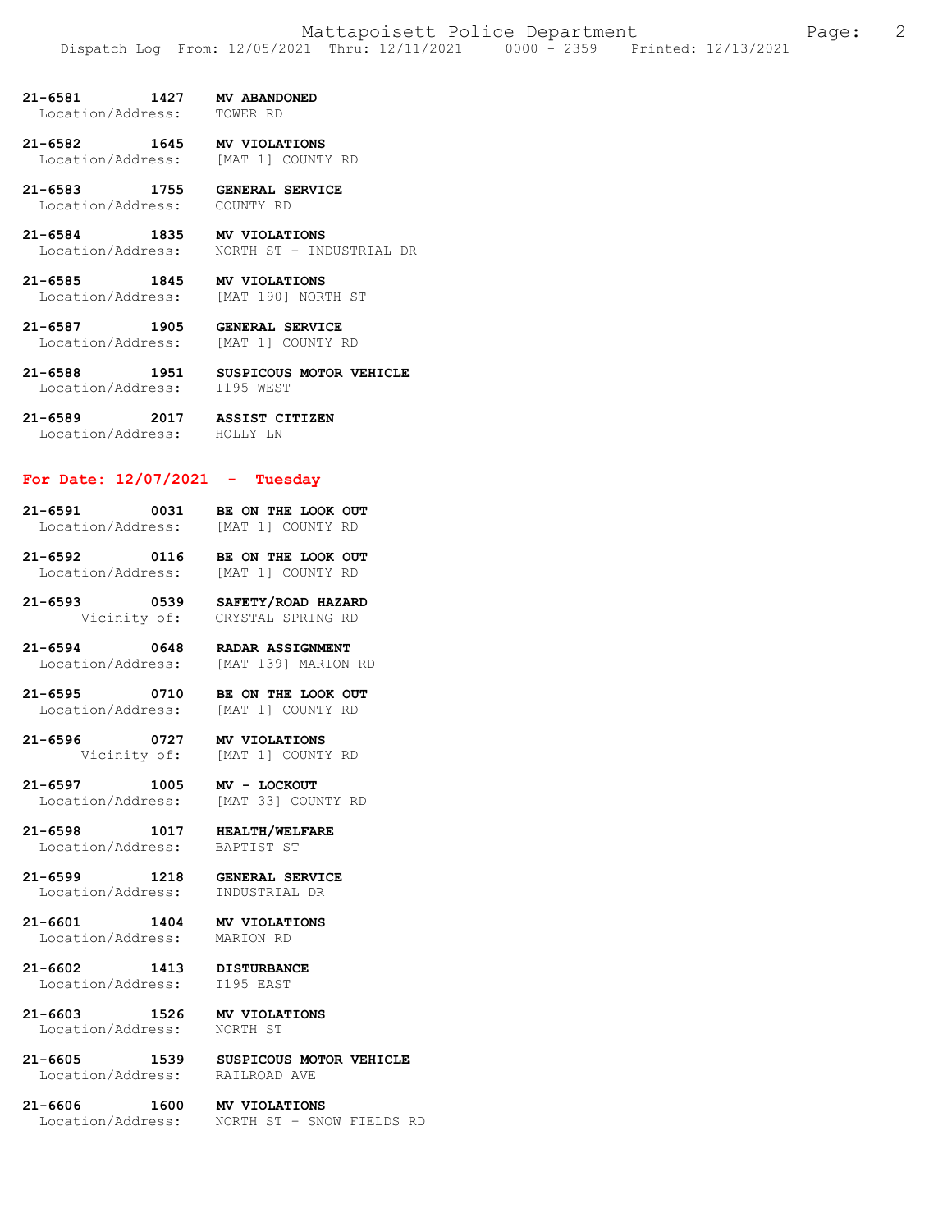**21-6581 1427 MV ABANDONED**  Location/Address:

**21-6582 1645 MV VIOLATIONS**  Location/Address: [MAT 1] COUNTY RD

**21-6583 1755 GENERAL SERVICE**  Location/Address: COUNTY RD

**21-6584 1835 MV VIOLATIONS**  Location/Address: NORTH ST + INDUSTRIAL DR

**21-6585 1845 MV VIOLATIONS**  Location/Address: [MAT 190] NORTH ST

**21-6587 1905 GENERAL SERVICE**  Location/Address:

**21-6588 1951 SUSPICOUS MOTOR VEHICLE**  Location/Address: I195 WEST

**21-6589 2017 ASSIST CITIZEN**  Location/Address: HOLLY LN

# **For Date: 12/07/2021 - Tuesday**

**21-6591 0031 BE ON THE LOOK OUT**  Location/Address:

**21-6592 0116 BE ON THE LOOK OUT**  [MAT 1] COUNTY RD

**21-6593 0539 SAFETY/ROAD HAZARD**  CRYSTAL SPRING RD

**21-6594 0648 RADAR ASSIGNMENT**  Location/Address: [MAT 139] MARION RD

**21-6595 0710 BE ON THE LOOK OUT**  Location/Address: [MAT 1] COUNTY RD

**21-6596 0727 MV VIOLATIONS**  [MAT 1] COUNTY RD

**21-6597 1005 MV - LOCKOUT**  Location/Address:

**21-6598 1017 HEALTH/WELFARE**  Location/Address:

**21-6599 1218 GENERAL SERVICE**  Location/Address:

**21-6601 1404 MV VIOLATIONS** 

Location/Address: MARION RD

**21-6602 1413 DISTURBANCE**  Location/Address:

**21-6603 1526 MV VIOLATIONS**  Location/Address: NORTH ST

**21-6605 1539 SUSPICOUS MOTOR VEHICLE**  Location/Address:

**21-6606 1600 MV VIOLATIONS**  Location/Address: NORTH ST + SNOW FIELDS RD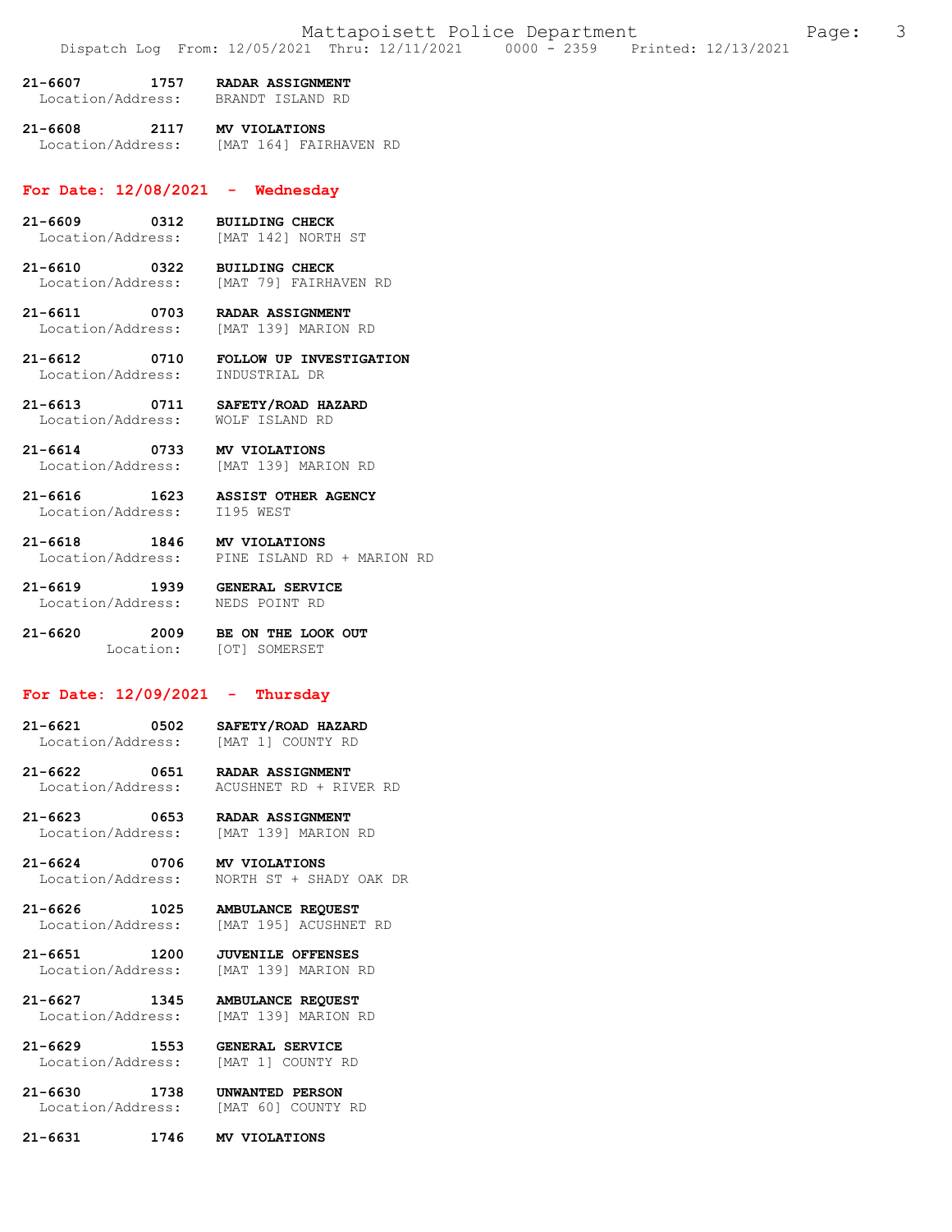| 21-6607           | 1757 | <b>RADAR ASSIGNMENT</b> |  |
|-------------------|------|-------------------------|--|
| Location/Address: |      | BRANDT ISLAND RD        |  |

**21-6608 2117 MV VIOLATIONS**  [MAT 164] FAIRHAVEN RD

#### **For Date: 12/08/2021 - Wednesday**

- **21-6609 0312 BUILDING CHECK**  [MAT 142] NORTH ST
- **21-6610 0322 BUILDING CHECK**  [MAT 79] FAIRHAVEN RD
- **21-6611 0703 RADAR ASSIGNMENT**  Location/Address: [MAT 139] MARION RD
- **21-6612 0710 FOLLOW UP INVESTIGATION**  Location/Address:
- **21-6613 0711 SAFETY/ROAD HAZARD**  Location/Address:
- **21-6614 0733 MV VIOLATIONS**  [MAT 139] MARION RD
- **21-6616 1623 ASSIST OTHER AGENCY**  Location/Address:
- **21-6618 1846 MV VIOLATIONS**  Location/Address: PINE ISLAND RD + MARION RD
- **21-6619 1939 GENERAL SERVICE**  Location/Address: NEDS POINT RD
- **21-6620 2009 BE ON THE LOOK OUT**  Location: [OT] SOMERSET

# **For Date: 12/09/2021 - Thursday**

- **21-6621 0502 SAFETY/ROAD HAZARD**  Location/Address:
- **21-6622 0651 RADAR ASSIGNMENT**  Location/Address: ACUSHNET RD + RIVER RD
- **21-6623 0653 RADAR ASSIGNMENT**  Location/Address: [MAT 139] MARION RD
- **21-6624 0706 MV VIOLATIONS**  NORTH ST + SHADY OAK DR
- **21-6626 1025 AMBULANCE REQUEST**  [MAT 195] ACUSHNET RD
- **21-6651 1200 JUVENILE OFFENSES**  [MAT 139] MARION RD
- **21-6627 1345 AMBULANCE REQUEST**  Location/Address: [MAT 139] MARION RD
- **21-6629 1553 GENERAL SERVICE**  Location/Address: [MAT 1] COUNTY RD
- **21-6630 1738 UNWANTED PERSON**  Location/Address: [MAT 60] COUNTY RD
- **21-6631 1746 MV VIOLATIONS**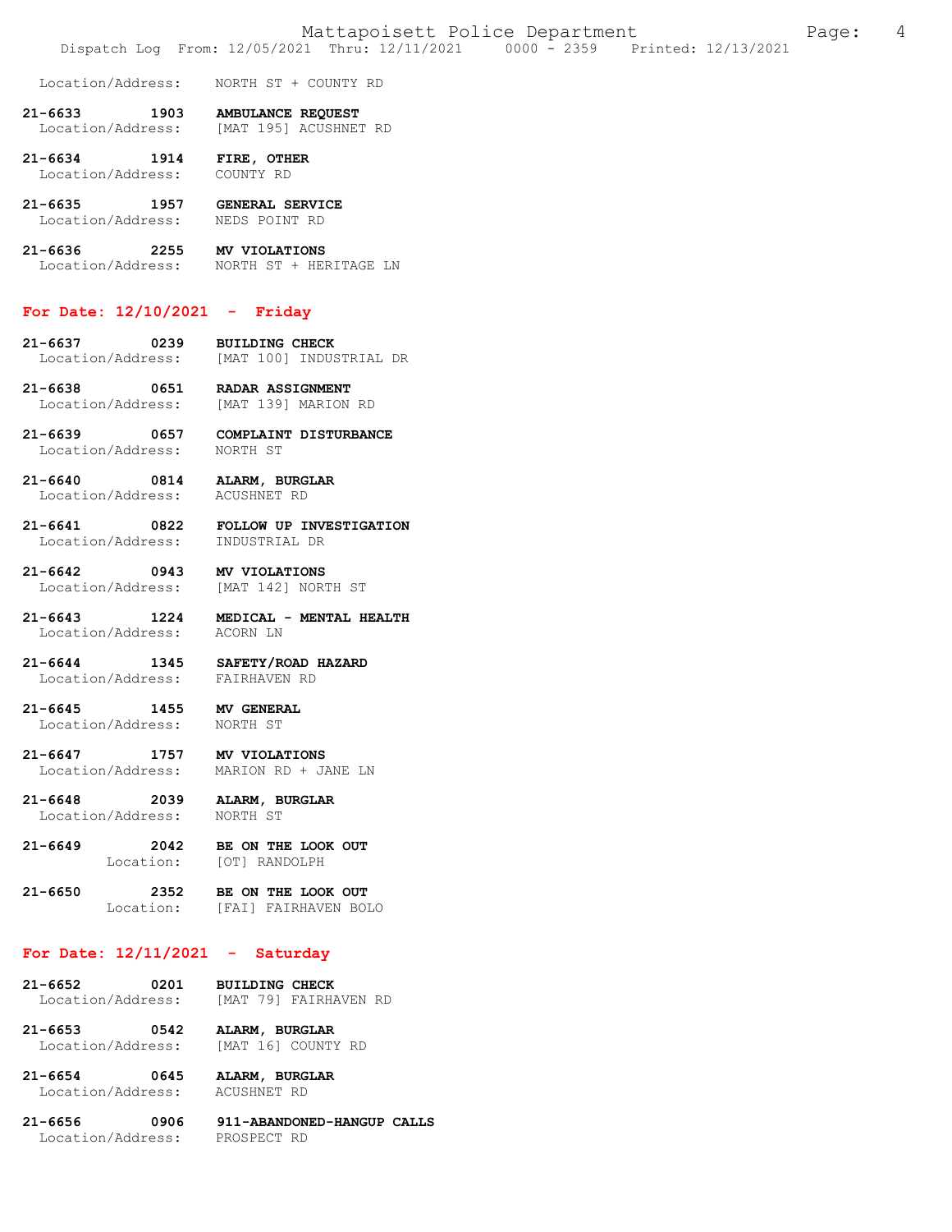Location/Address: NORTH ST + COUNTY RD

**21-6633 1903 AMBULANCE REQUEST**  [MAT 195] ACUSHNET RD

**21-6634 1914 FIRE, OTHER**  Location/Address: COUNTY RD

**21-6635 1957 GENERAL SERVICE**  Location/Address:

**21-6636 2255 MV VIOLATIONS**  Location/Address: NORTH ST + HERITAGE LN

#### **For Date: 12/10/2021 - Friday**

**21-6637 0239 BUILDING CHECK**  [MAT 100] INDUSTRIAL DR

**21-6638 0651 RADAR ASSIGNMENT**  Location/Address: [MAT 139] MARION RD

**21-6639 0657 COMPLAINT DISTURBANCE**  Location/Address:

**21-6640 0814 ALARM, BURGLAR**  Location/Address: ACUSHNET RD

**21-6641 0822 FOLLOW UP INVESTIGATION**  Location/Address: INDUSTRIAL DR

**21-6642 0943 MV VIOLATIONS**  Location/Address:

**21-6643 1224 MEDICAL - MENTAL HEALTH**  Location/Address:

**21-6644 1345 SAFETY/ROAD HAZARD**  Location/Address:

**21-6645 1455 MV GENERAL**  Location/Address: NORTH ST

**21-6647 1757 MV VIOLATIONS**  MARION RD + JANE LN

**21-6648 2039 ALARM, BURGLAR**  Location/Address:

**21-6649 2042 BE ON THE LOOK OUT**  [OT] RANDOLPH

**21-6650 2352 BE ON THE LOOK OUT**  [FAI] FAIRHAVEN BOLO

### **For Date: 12/11/2021 - Saturday**

**21-6652 0201 BUILDING CHECK**  [MAT 79] FAIRHAVEN RD

**21-6653 0542 ALARM, BURGLAR**  Location/Address:

**21-6654 0645 ALARM, BURGLAR**  Location/Address:

**21-6656 0906 911-ABANDONED-HANGUP CALLS**  Location/Address: PROSPECT RD